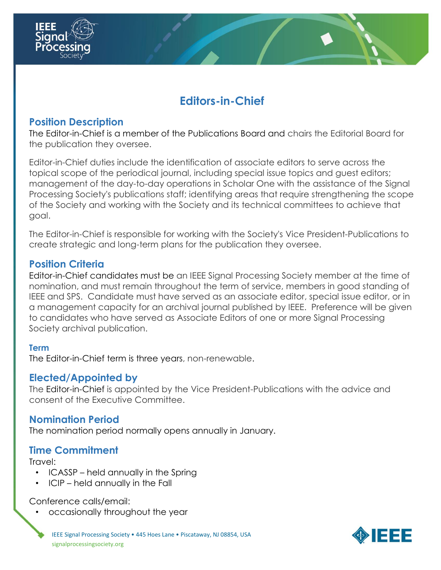

# **Editors-in-Chief**

## **Position Description**

The Editor-in-Chief is a member of the Publications Board and chairs the Editorial Board for the publication they oversee.

Editor-in-Chief duties include the identification of associate editors to serve across the topical scope of the periodical journal, including special issue topics and guest editors; management of the day-to-day operations in Scholar One with the assistance of the Signal Processing Society's publications staff; identifying areas that require strengthening the scope of the Society and working with the Society and its technical committees to achieve that goal.

The Editor-in-Chief is responsible for working with the Society's Vice President-Publications to create strategic and long-term plans for the publication they oversee.

## **Position Criteria**

Editor-in-Chief candidates must be an IEEE Signal Processing Society member at the time of nomination, and must remain throughout the term of service, members in good standing of IEEE and SPS. Candidate must have served as an associate editor, special issue editor, or in a management capacity for an archival journal published by IEEE. Preference will be given to candidates who have served as Associate Editors of one or more Signal Processing Society archival publication.

#### **Term**

The Editor-in-Chief term is three years, non-renewable.

# **Elected/Appointed by**

The Editor-in-Chief is appointed by the Vice President-Publications with the advice and consent of the Executive Committee.

#### **Nomination Period**

The nomination period normally opens annually in January.

# **Time Commitment**

Travel:

- ICASSP held annually in the Spring
- ICIP held annually in the Fall

#### Conference calls/email:

• occasionally throughout the year

IEEE Signal Processing Society • 445 Hoes Lane • Piscataway, NJ 08854, USA signalprocessingsociety.org